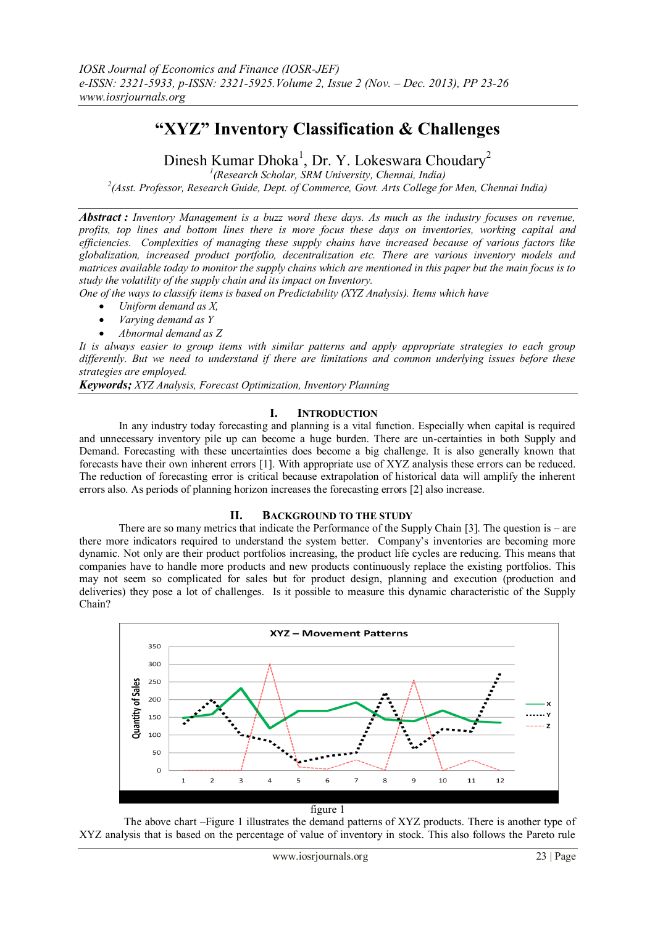# **"XYZ" Inventory Classification & Challenges**

Dinesh Kumar Dhoka<sup>1</sup>, Dr. Y. Lokeswara Choudary<sup>2</sup>

*1 (Research Scholar, SRM University, Chennai, India)*

*2 (Asst. Professor, Research Guide, Dept. of Commerce, Govt. Arts College for Men, Chennai India)*

*Abstract : Inventory Management is a buzz word these days. As much as the industry focuses on revenue, profits, top lines and bottom lines there is more focus these days on inventories, working capital and efficiencies. Complexities of managing these supply chains have increased because of various factors like globalization, increased product portfolio, decentralization etc. There are various inventory models and matrices available today to monitor the supply chains which are mentioned in this paper but the main focus is to study the volatility of the supply chain and its impact on Inventory.*

*One of the ways to classify items is based on Predictability (XYZ Analysis). Items which have*

- *Uniform demand as X,*
- *Varying demand as Y*
- *Abnormal demand as Z*

*It is always easier to group items with similar patterns and apply appropriate strategies to each group differently. But we need to understand if there are limitations and common underlying issues before these strategies are employed.*

*Keywords; XYZ Analysis, Forecast Optimization, Inventory Planning*

## **I. INTRODUCTION**

In any industry today forecasting and planning is a vital function. Especially when capital is required and unnecessary inventory pile up can become a huge burden. There are un-certainties in both Supply and Demand. Forecasting with these uncertainties does become a big challenge. It is also generally known that forecasts have their own inherent errors [1]. With appropriate use of XYZ analysis these errors can be reduced. The reduction of forecasting error is critical because extrapolation of historical data will amplify the inherent errors also. As periods of planning horizon increases the forecasting errors [2] also increase.

## **II. BACKGROUND TO THE STUDY**

There are so many metrics that indicate the Performance of the Supply Chain [3]. The question is – are there more indicators required to understand the system better. Company"s inventories are becoming more dynamic. Not only are their product portfolios increasing, the product life cycles are reducing. This means that companies have to handle more products and new products continuously replace the existing portfolios. This may not seem so complicated for sales but for product design, planning and execution (production and deliveries) they pose a lot of challenges. Is it possible to measure this dynamic characteristic of the Supply Chain?



The above chart –Figure 1 illustrates the demand patterns of XYZ products. There is another type of XYZ analysis that is based on the percentage of value of inventory in stock. This also follows the Pareto rule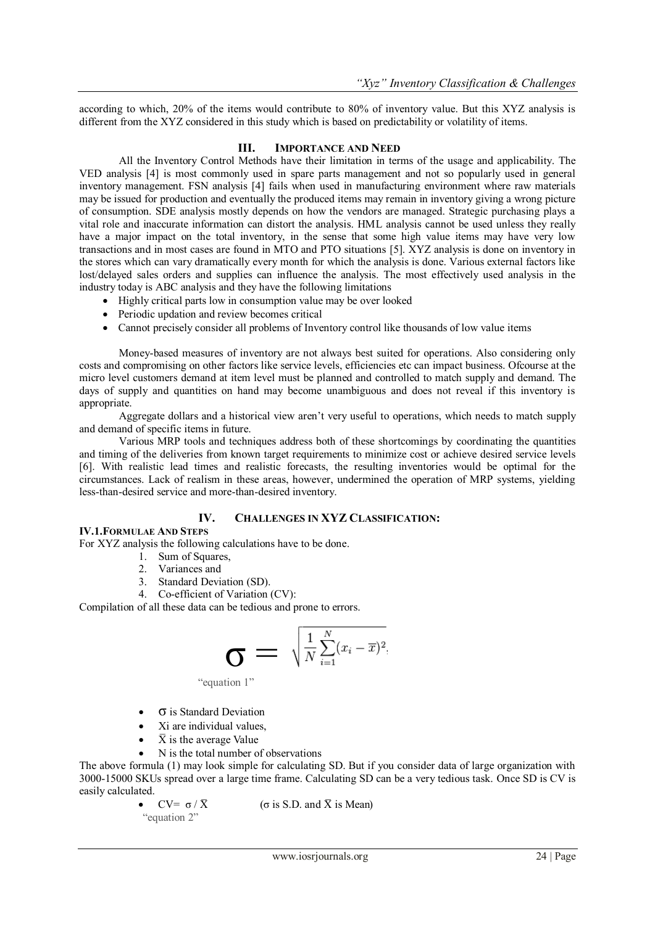according to which, 20% of the items would contribute to 80% of inventory value. But this XYZ analysis is different from the XYZ considered in this study which is based on predictability or volatility of items.

## **III. IMPORTANCE AND NEED**

All the Inventory Control Methods have their limitation in terms of the usage and applicability. The VED analysis [4] is most commonly used in spare parts management and not so popularly used in general inventory management. FSN analysis [4] fails when used in manufacturing environment where raw materials may be issued for production and eventually the produced items may remain in inventory giving a wrong picture of consumption. SDE analysis mostly depends on how the vendors are managed. Strategic purchasing plays a vital role and inaccurate information can distort the analysis. HML analysis cannot be used unless they really have a major impact on the total inventory, in the sense that some high value items may have very low transactions and in most cases are found in MTO and PTO situations [5]. XYZ analysis is done on inventory in the stores which can vary dramatically every month for which the analysis is done. Various external factors like lost/delayed sales orders and supplies can influence the analysis. The most effectively used analysis in the industry today is ABC analysis and they have the following limitations

- Highly critical parts low in consumption value may be over looked
- Periodic updation and review becomes critical
- Cannot precisely consider all problems of Inventory control like thousands of low value items

Money-based measures of inventory are not always best suited for operations. Also considering only costs and compromising on other factors like service levels, efficiencies etc can impact business. Ofcourse at the micro level customers demand at item level must be planned and controlled to match supply and demand. The days of supply and quantities on hand may become unambiguous and does not reveal if this inventory is appropriate.

Aggregate dollars and a historical view aren"t very useful to operations, which needs to match supply and demand of specific items in future.

Various MRP tools and techniques address both of these shortcomings by coordinating the quantities and timing of the deliveries from known target requirements to minimize cost or achieve desired service levels [6]. With realistic lead times and realistic forecasts, the resulting inventories would be optimal for the circumstances. Lack of realism in these areas, however, undermined the operation of MRP systems, yielding less-than-desired service and more-than-desired inventory.

## **IV. CHALLENGES IN XYZ CLASSIFICATION:**

## **IV.1.FORMULAE AND STEPS**

For XYZ analysis the following calculations have to be done.

- 1. Sum of Squares,
- 2. Variances and
- 3. Standard Deviation (SD).
- 4. Co-efficient of Variation (CV):

Compilation of all these data can be tedious and prone to errors.

$$
\sigma = \sqrt{\frac{1}{N} \sum_{i=1}^{N} (x_i - \overline{x})^2}
$$

"equation 1"

- σ is Standard Deviation
- Xi are individual values,
- $\bar{X}$  is the average Value
- N is the total number of observations

The above formula (1) may look simple for calculating SD. But if you consider data of large organization with 3000-15000 SKUs spread over a large time frame. Calculating SD can be a very tedious task. Once SD is CV is easily calculated.

"equation 2"

 $CV= \sigma / \bar{X}$  ( $\sigma$  is S.D. and  $\bar{X}$  is Mean)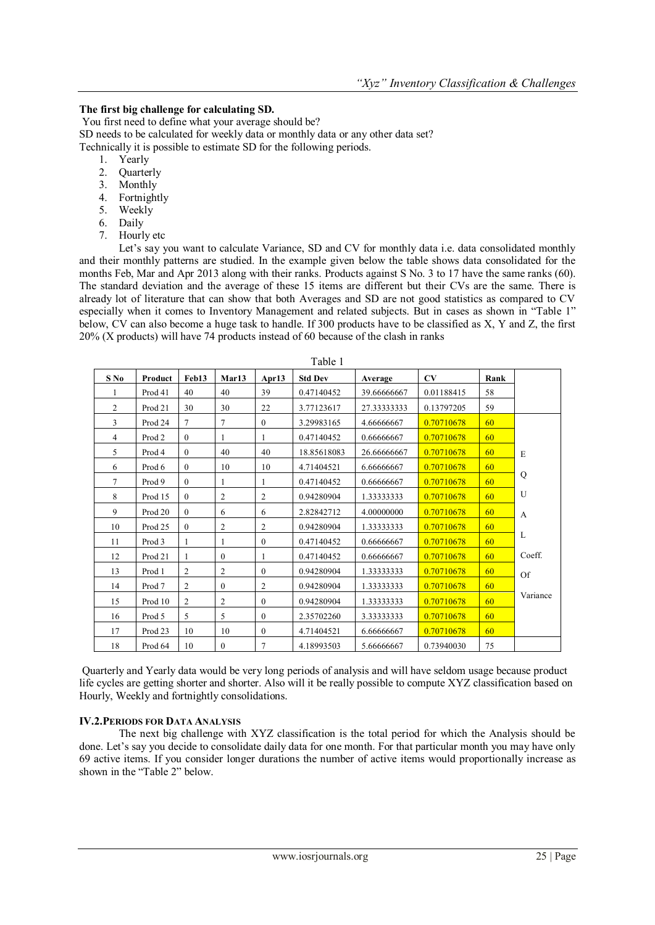## **The first big challenge for calculating SD.**

You first need to define what your average should be? SD needs to be calculated for weekly data or monthly data or any other data set? Technically it is possible to estimate SD for the following periods.

- 1. Yearly
- 2. Quarterly
- 3. Monthly
- 4. Fortnightly
- 5. Weekly
- 6. Daily
- 7. Hourly etc

Let's say you want to calculate Variance, SD and CV for monthly data i.e. data consolidated monthly and their monthly patterns are studied. In the example given below the table shows data consolidated for the months Feb, Mar and Apr 2013 along with their ranks. Products against S No. 3 to 17 have the same ranks (60). The standard deviation and the average of these 15 items are different but their CVs are the same. There is already lot of literature that can show that both Averages and SD are not good statistics as compared to CV especially when it comes to Inventory Management and related subjects. But in cases as shown in "Table 1" below, CV can also become a huge task to handle. If 300 products have to be classified as X, Y and Z, the first 20% (X products) will have 74 products instead of 60 because of the clash in ranks

| $S$ No         | Product           | Feb13          | Mar13          | Apr13          | <b>Std Dev</b> | Average     | CV         | Rank |              |
|----------------|-------------------|----------------|----------------|----------------|----------------|-------------|------------|------|--------------|
| 1              | Prod 41           | 40             | 40             | 39             | 0.47140452     | 39.66666667 | 0.01188415 | 58   |              |
| $\overline{2}$ | Prod 21           | 30             | 30             | 22             | 3.77123617     | 27.33333333 | 0.13797205 | 59   |              |
| 3              | Prod 24           | $\tau$         | $\tau$         | $\theta$       | 3.29983165     | 4.66666667  | 0.70710678 | 60   |              |
| $\overline{4}$ | Prod <sub>2</sub> | $\mathbf{0}$   | 1              | 1              | 0.47140452     | 0.66666667  | 0.70710678 | 60   |              |
| 5              | Prod 4            | $\mathbf{0}$   | 40             | 40             | 18.85618083    | 26.66666667 | 0.70710678 | 60   | E            |
| 6              | Prod 6            | $\mathbf{0}$   | 10             | 10             | 4.71404521     | 6.66666667  | 0.70710678 | 60   |              |
| 7              | Prod 9            | $\theta$       | 1              |                | 0.47140452     | 0.66666667  | 0.70710678 | 60   | Q            |
| 8              | Prod 15           | $\theta$       | $\overline{2}$ | $\overline{c}$ | 0.94280904     | 1.33333333  | 0.70710678 | 60   | U            |
| 9              | Prod 20           | $\theta$       | 6              | 6              | 2.82842712     | 4.00000000  | 0.70710678 | 60   | $\mathbf{A}$ |
| 10             | Prod 25           | $\theta$       | $\overline{2}$ | $\overline{2}$ | 0.94280904     | 1.33333333  | 0.70710678 | 60   |              |
| 11             | Prod 3            |                | 1              | $\mathbf{0}$   | 0.47140452     | 0.66666667  | 0.70710678 | 60   | L            |
| 12             | Prod 21           | 1              | $\theta$       | 1              | 0.47140452     | 0.66666667  | 0.70710678 | 60   | Coeff.       |
| 13             | Prod 1            | $\overline{c}$ | $\overline{2}$ | $\theta$       | 0.94280904     | 1.33333333  | 0.70710678 | 60   | <b>Of</b>    |
| 14             | Prod 7            | 2              | $\theta$       | $\overline{c}$ | 0.94280904     | 1.33333333  | 0.70710678 | 60   |              |
| 15             | Prod 10           | 2              | $\overline{2}$ | $\theta$       | 0.94280904     | 1.33333333  | 0.70710678 | 60   | Variance     |
| 16             | Prod 5            | 5              | 5              | $\mathbf{0}$   | 2.35702260     | 3.33333333  | 0.70710678 | 60   |              |
| 17             | Prod 23           | 10             | 10             | $\theta$       | 4.71404521     | 6.66666667  | 0.70710678 | 60   |              |
| 18             | Prod 64           | 10             | $\theta$       | 7              | 4.18993503     | 5.66666667  | 0.73940030 | 75   |              |

Quarterly and Yearly data would be very long periods of analysis and will have seldom usage because product life cycles are getting shorter and shorter. Also will it be really possible to compute XYZ classification based on Hourly, Weekly and fortnightly consolidations.

## **IV.2.PERIODS FOR DATA ANALYSIS**

The next big challenge with XYZ classification is the total period for which the Analysis should be done. Let"s say you decide to consolidate daily data for one month. For that particular month you may have only 69 active items. If you consider longer durations the number of active items would proportionally increase as shown in the "Table 2" below.